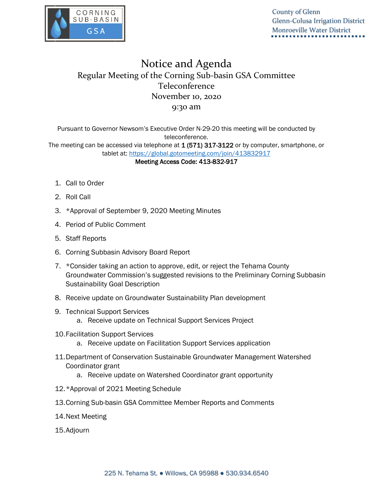

County of Glenn Glenn-Colusa Irrigation District Monroeville Water District

## Notice and Agenda Regular Meeting of the Corning Sub-basin GSA Committee Teleconference November 10, 2020 9:30 am

Pursuant to Governor Newsom's Executive Order N-29-20 this meeting will be conducted by teleconference.

The meeting can be accessed via telephone at 1 (571) 317-3122 or by computer, smartphone, or tablet at: <https://global.gotomeeting.com/join/413832917>

Meeting Access Code: 413-832-917

- 1. Call to Order
- 2. Roll Call
- 3. \*Approval of September 9, 2020 Meeting Minutes
- 4. Period of Public Comment
- 5. Staff Reports
- 6. Corning Subbasin Advisory Board Report
- 7. \*Consider taking an action to approve, edit, or reject the Tehama County Groundwater Commission's suggested revisions to the Preliminary Corning Subbasin Sustainability Goal Description
- 8. Receive update on Groundwater Sustainability Plan development
- 9. Technical Support Services
	- a. Receive update on Technical Support Services Project
- 10.Facilitation Support Services
	- a. Receive update on Facilitation Support Services application
- 11.Department of Conservation Sustainable Groundwater Management Watershed Coordinator grant
	- a. Receive update on Watershed Coordinator grant opportunity
- 12.\*Approval of 2021 Meeting Schedule
- 13.Corning Sub-basin GSA Committee Member Reports and Comments
- 14.Next Meeting
- 15.Adjourn